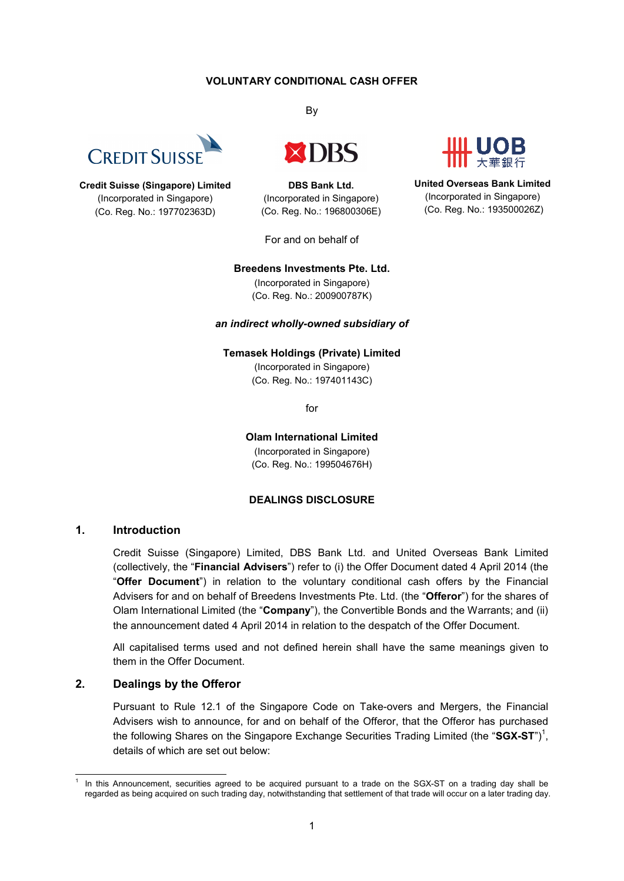## **VOLUNTARY CONDITIONAL CASH OFFER**



**Credit Suisse (Singapore) Limited** (Incorporated in Singapore) (Co. Reg. No.: 197702363D)

By



**DBS Bank Ltd.** (Incorporated in Singapore) (Co. Reg. No.: 196800306E)

For and on behalf of

**United Overseas Bank Limited** (Incorporated in Singapore) (Co. Reg. No.: 193500026Z)

#### **Breedens Investments Pte. Ltd.**

(Incorporated in Singapore) (Co. Reg. No.: 200900787K)

#### *an indirect wholly-owned subsidiary of*

**Temasek Holdings (Private) Limited**

(Incorporated in Singapore) (Co. Reg. No.: 197401143C)

for

**Olam International Limited** (Incorporated in Singapore) (Co. Reg. No.: 199504676H)

#### **DEALINGS DISCLOSURE**

## **1. Introduction**

Credit Suisse (Singapore) Limited, DBS Bank Ltd. and United Overseas Bank Limited (collectively, the "**Financial Advisers**") refer to (i) the Offer Document dated 4 April 2014 (the "**Offer Document**") in relation to the voluntary conditional cash offers by the Financial Advisers for and on behalf of Breedens Investments Pte. Ltd. (the "**Offeror**") for the shares of Olam International Limited (the "**Company**"), the Convertible Bonds and the Warrants; and (ii) the announcement dated 4 April 2014 in relation to the despatch of the Offer Document.

All capitalised terms used and not defined herein shall have the same meanings given to them in the Offer Document.

## **2. Dealings by the Offeror**

Pursuant to Rule 12.1 of the Singapore Code on Take-overs and Mergers, the Financial Advisers wish to announce, for and on behalf of the Offeror, that the Offeror has purchased the following Shares on the Singapore Exchange Securities Trading Limited (the "SGX-ST")<sup>1</sup>, details of which are set out below:

<sup>-</sup>1 In this Announcement, securities agreed to be acquired pursuant to a trade on the SGX-ST on a trading day shall be regarded as being acquired on such trading day, notwithstanding that settlement of that trade will occur on a later trading day.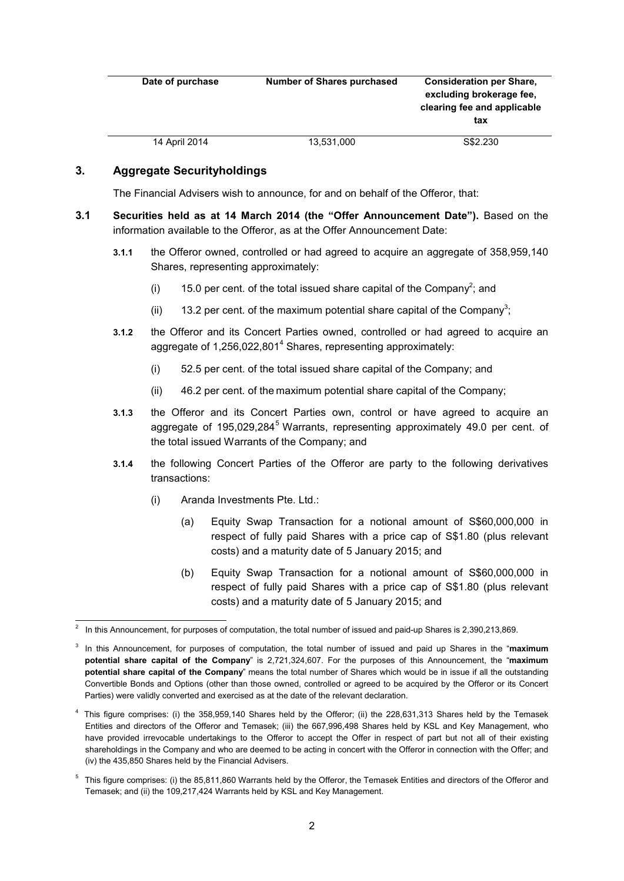| Date of purchase | <b>Number of Shares purchased</b> | <b>Consideration per Share,</b><br>excluding brokerage fee.<br>clearing fee and applicable<br>tax |
|------------------|-----------------------------------|---------------------------------------------------------------------------------------------------|
| 14 April 2014    | 13,531,000                        | S\$2,230                                                                                          |

# **3. Aggregate Securityholdings**

The Financial Advisers wish to announce, for and on behalf of the Offeror, that:

- **3.1 Securities held as at 14 March 2014 (the "Offer Announcement Date").** Based on the information available to the Offeror, as at the Offer Announcement Date:
	- **3.1.1** the Offeror owned, controlled or had agreed to acquire an aggregate of 358,959,140 Shares, representing approximately:
		- (i) 15.0 per cent. of the total issued share capital of the Company<sup>2</sup>; and
		- (ii) 13.2 per cent. of the maximum potential share capital of the Company<sup>3</sup>;
	- **3.1.2** the Offeror and its Concert Parties owned, controlled or had agreed to acquire an aggregate of 1,256,022,801<sup>4</sup> Shares, representing approximately:
		- (i) 52.5 per cent. of the total issued share capital of the Company; and
		- (ii) 46.2 per cent. of the maximum potential share capital of the Company;
	- **3.1.3** the Offeror and its Concert Parties own, control or have agreed to acquire an aggregate of  $195.029.284<sup>5</sup>$  Warrants, representing approximately 49.0 per cent. of the total issued Warrants of the Company; and
	- **3.1.4** the following Concert Parties of the Offeror are party to the following derivatives transactions:
		- (i) Aranda Investments Pte. Ltd.:
			- (a) Equity Swap Transaction for a notional amount of S\$60,000,000 in respect of fully paid Shares with a price cap of S\$1.80 (plus relevant costs) and a maturity date of 5 January 2015; and
			- (b) Equity Swap Transaction for a notional amount of S\$60,000,000 in respect of fully paid Shares with a price cap of S\$1.80 (plus relevant costs) and a maturity date of 5 January 2015; and

 $5$  This figure comprises: (i) the 85,811,860 Warrants held by the Offeror, the Temasek Entities and directors of the Offeror and Temasek; and (ii) the 109,217,424 Warrants held by KSL and Key Management.

 2 In this Announcement, for purposes of computation, the total number of issued and paid-up Shares is 2,390,213,869.

<sup>3</sup> In this Announcement, for purposes of computation, the total number of issued and paid up Shares in the "**maximum potential share capital of the Company**" is 2,721,324,607. For the purposes of this Announcement, the "**maximum potential share capital of the Company**" means the total number of Shares which would be in issue if all the outstanding Convertible Bonds and Options (other than those owned, controlled or agreed to be acquired by the Offeror or its Concert Parties) were validly converted and exercised as at the date of the relevant declaration.

<sup>4</sup> This figure comprises: (i) the 358,959,140 Shares held by the Offeror; (ii) the 228,631,313 Shares held by the Temasek Entities and directors of the Offeror and Temasek; (iii) the 667,996,498 Shares held by KSL and Key Management, who have provided irrevocable undertakings to the Offeror to accept the Offer in respect of part but not all of their existing shareholdings in the Company and who are deemed to be acting in concert with the Offeror in connection with the Offer; and (iv) the 435,850 Shares held by the Financial Advisers.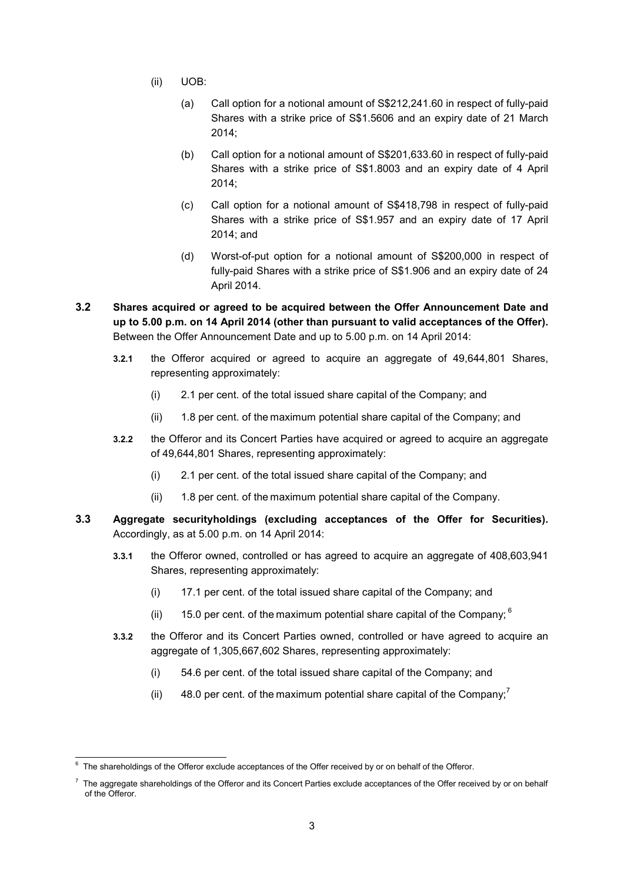- (ii) UOB:
	- (a) Call option for a notional amount of S\$212,241.60 in respect of fully-paid Shares with a strike price of S\$1.5606 and an expiry date of 21 March 2014;
	- (b) Call option for a notional amount of S\$201,633.60 in respect of fully-paid Shares with a strike price of S\$1.8003 and an expiry date of 4 April 2014;
	- (c) Call option for a notional amount of S\$418,798 in respect of fully-paid Shares with a strike price of S\$1.957 and an expiry date of 17 April 2014; and
	- (d) Worst-of-put option for a notional amount of S\$200,000 in respect of fully-paid Shares with a strike price of S\$1.906 and an expiry date of 24 April 2014.
- **3.2 Shares acquired or agreed to be acquired between the Offer Announcement Date and up to 5.00 p.m. on 14 April 2014 (other than pursuant to valid acceptances of the Offer).**  Between the Offer Announcement Date and up to 5.00 p.m. on 14 April 2014:
	- **3.2.1** the Offeror acquired or agreed to acquire an aggregate of 49,644,801 Shares, representing approximately:
		- (i) 2.1 per cent. of the total issued share capital of the Company; and
		- (ii) 1.8 per cent. of the maximum potential share capital of the Company; and
	- **3.2.2** the Offeror and its Concert Parties have acquired or agreed to acquire an aggregate of 49,644,801 Shares, representing approximately:
		- (i) 2.1 per cent. of the total issued share capital of the Company; and
		- (ii) 1.8 per cent. of the maximum potential share capital of the Company.
- **3.3 Aggregate securityholdings (excluding acceptances of the Offer for Securities).** Accordingly, as at 5.00 p.m. on 14 April 2014:
	- **3.3.1** the Offeror owned, controlled or has agreed to acquire an aggregate of 408,603,941 Shares, representing approximately:
		- (i) 17.1 per cent. of the total issued share capital of the Company; and
		- (ii) 15.0 per cent. of the maximum potential share capital of the Company;  $6$
	- **3.3.2** the Offeror and its Concert Parties owned, controlled or have agreed to acquire an aggregate of 1,305,667,602 Shares, representing approximately:
		- (i) 54.6 per cent. of the total issued share capital of the Company; and
		- (ii) 48.0 per cent. of the maximum potential share capital of the Company;

 6 The shareholdings of the Offeror exclude acceptances of the Offer received by or on behalf of the Offeror.

 $\textsuperscript{7}$  The aggregate shareholdings of the Offeror and its Concert Parties exclude acceptances of the Offer received by or on behalf of the Offeror.